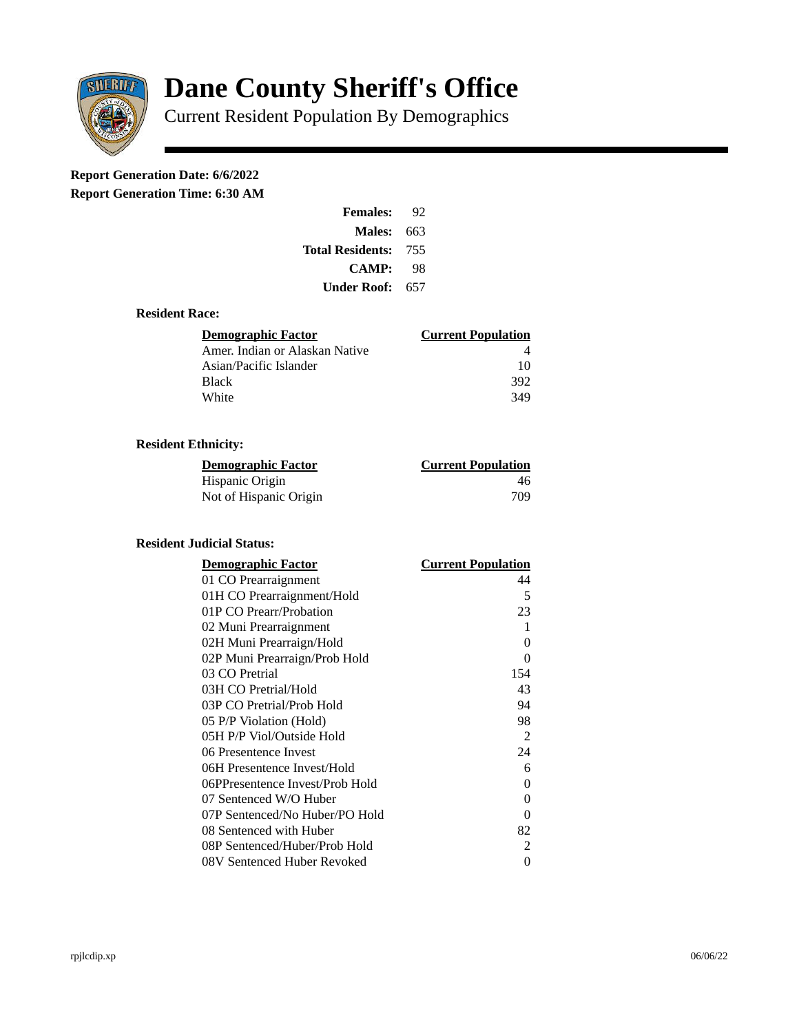

# **Dane County Sheriff's Office**

Current Resident Population By Demographics

## **Report Generation Date: 6/6/2022**

**Report Generation Time: 6:30 AM** 

| <b>Females:</b>         | 92  |
|-------------------------|-----|
| Males:                  | 663 |
| <b>Total Residents:</b> | 755 |
| <b>CAMP:</b>            | 98  |
| Under Roof:             | 657 |

#### **Resident Race:**

| <b>Demographic Factor</b>      | <b>Current Population</b> |
|--------------------------------|---------------------------|
| Amer. Indian or Alaskan Native |                           |
| Asian/Pacific Islander         | 10                        |
| Black                          | 392                       |
| White                          | 349                       |

### **Resident Ethnicity:**

| <u>Demographic Factor</u> | <b>Current Population</b> |
|---------------------------|---------------------------|
| Hispanic Origin           | 46                        |
| Not of Hispanic Origin    | 709                       |

#### **Resident Judicial Status:**

| <b>Demographic Factor</b>       | <b>Current Population</b> |
|---------------------------------|---------------------------|
| 01 CO Prearraignment            | 44                        |
| 01H CO Prearraignment/Hold      | 5                         |
| 01P CO Prearr/Probation         | 23                        |
| 02 Muni Prearraignment          | 1                         |
| 02H Muni Prearraign/Hold        | 0                         |
| 02P Muni Prearraign/Prob Hold   | 0                         |
| 03 CO Pretrial                  | 154                       |
| 03H CO Pretrial/Hold            | 43                        |
| 03P CO Pretrial/Prob Hold       | 94                        |
| 05 P/P Violation (Hold)         | 98                        |
| 05H P/P Viol/Outside Hold       | 2                         |
| 06 Presentence Invest           | 24                        |
| 06H Presentence Invest/Hold     | 6                         |
| 06PPresentence Invest/Prob Hold | 0                         |
| 07 Sentenced W/O Huber          | 0                         |
| 07P Sentenced/No Huber/PO Hold  | 0                         |
| 08 Sentenced with Huber         | 82                        |
| 08P Sentenced/Huber/Prob Hold   | 2                         |
| 08V Sentenced Huber Revoked     | 0                         |